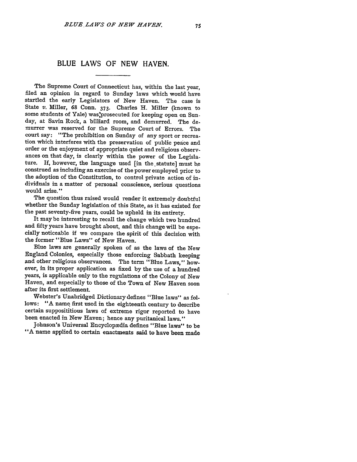The Supreme Court of Connecticut has, within the last year, filed an opinion in regard to Sunday laws which would have startled the early Legislators of New Haven. The case is State  $v$ . Miller, 68 Conn. 373. Charles H. Miller (known to some students of Yale) was"prosecuted for keeping open on Sunday, at Savin Rock, a billiard room, and demurred. The demurrer was reserved for the Supreme Court of Errors. The court say: "The prohibition on Sunday of any sport or recreation which interferes with the preservation of public peace and order or the enjoyment of appropriate quiet and religious observances on that day, is clearly within the power of the Legislature. If, however, the language used [in the. statute] must be construed as including an exercise of the power employed prior to the adoption of the Constitution, to control private action of individuals in a matter of personal conscience, serious questions would arise."

The question thus raised would render it extremely doubtful whether the Sunday legislation of this State, as it has existed for the past seventy-five years, could be upheld in its entirety.

It may be interesting to recall the change which two hundred and fifty years have brought about, and this change will be especially noticeable if we compare the spirit of this decision with the former "Blue Laws" of New Haven.

Blue laws are generally spoken of as the laws of the New England Colonies, especially those enforcing Sabbath keeping and other religious observances. The term "Blue Laws," however, in its proper application as fixed by the use of a hundred years, is applicable only to the regulations of the Colony of New Haven, and especially to those of the Town of New Haven soon after its first settlement.

Webster's Unabridged Dictionary defines "Blue laws" as follows: "A name first used in the eighteenth century to describe certain supposititious laws of extreme rigor reported to have been enacted in New Haven; hence any puritanical laws."

Johnson's Universal Encyclopedia defines "Blue laws" to be "A name applied to certain enactments said to have been made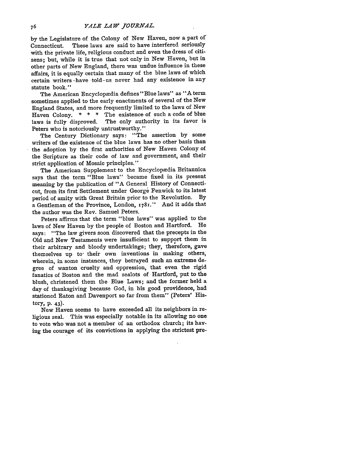by the Legislature of the Colony of New Haven, now a part of Connecticut. These laws are said to have interfered seriously with the private life, religious conduct and even the dress of citizens; but, while it is true that not only in New Haven, but in other parts of New England, there was undue influence in these affairs, it is equally certain that many of the blue laws of which certain writers -have told-us never had any existence in any statute book."

The American Encyclopædia defines "Blue laws" as "A term sometimes applied to the early enactments of several of the New England States, and more frequently limited to the laws of New Haven Colony. \* \* **\*** The existence of such a code of blue laws is fully disproved. The only authority in its favor is Peters who is notoriously untrustworthy."

The Century Dictionary says: "The assertion **by** some writers of the existence of the blue laws has no other basis than the adoption by the first authorities of New Haven Colony of the Scripture as their code of law and government, and their strict application of Mosaic principles."

The American Supplement to the Encyclopædia Britannica says that the term "Blue laws" became fixed in its present meaning **by** the publication of "A General History of Connecticut, from its first Settlement under George Fenwick to its latest period of amity with Great Britain prior to the Revolution. By a Gentleman of the Province, London, **1781." And** it adds that the author was the Rev. Samuel Peters.

Peters affirms that the term "blue laws" was applied to the laws of New Haven by the people of Boston and Hartford. He says: "The law givers soon discovered that the precepts in the Old and New Testaments were insufficient to support them in their arbitrary and bloody undertakings; they, therefore, gave themselves up to- their own inventions in making others, wherein, in some instances, they betrayed such an extreme degree of wanton cruelty and oppression, that even the rigid fanatics of Boston and the mad zealots of Hartford, put to the blush, christened them the Blue Laws; and the former held a day of thanksgiving because God, in his good providence, had stationed Eaton and Davenport so far from them" (Peters' History, p. 43).

New Haven seems to have exceeded all its neighbors in religious zeal. This was especially notable in its allowing no one to vote who was not a member of an orthodox church; its having the courage of its convictions in applying the strictest pre-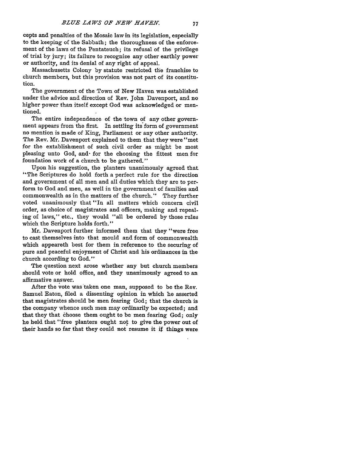cepts and penalties of the Mosaic law in its legislation, especially to the keeping of the Sabbath; the thoroughness of the enforcement of the laws of the Pentateuch; its refusal of the privilege of trial by jury; its failure to recognize any other earthly power or authority, and its denial of any right of appeal.

Massachusetts Colony **by** statute restricted the franchise to church members, but this provision was not part of its constitution.

The government of the Town of New Haven was established under the advice and direction of Rev. John Davenport, and no higher power than itself except God was acknowledged or mentioned.

The entire independence of the town of any other government appears from the first. In settling its form of government no mention is made of King, Parliament or any other authority. The Rev. Mr. Davenport explained to them that they were "met for the extablishment of such civil order as might be most pleasing unto God, and- for the choosing the fittest men for foundation work of a church to be gathered."

Upon his suggestion, the planters unanimously agreed that "The Scriptures do hold forth a perfect rule for the direction and government of all men and all duties which they are to perform to God and men, as well in the government of families and commonwealth as in the matters of the church." They further voted unanimously that "In all matters which concern civil order, as choice of magistrates and officers, making and repealing of laws," etc., they would "all be ordered **by** those rules which the Scripture holds forth."

Mr. Davenport further informed them that they "were free to cast themselves into that mould and form of commonwealth which appeareth best for them in reference to the securing of pure and peaceful enjoyment of Christ and his ordinances in the church according to God."

The question next arose whether any but church members should vote or hold office, and they unanimously agreed to an affirmative answer.

After the vote was taken one man, supposed to be the Rev. Samuel Eaton, filed a dissenting opinion in which he asserted that magistrates should be men fearing God; that the church is the company whence such men may ordinarily be expected; and that they that choose them ought to be men fearing God; only he held that "free planters ought not to give the power out of their hands so far that they could not resume it if things were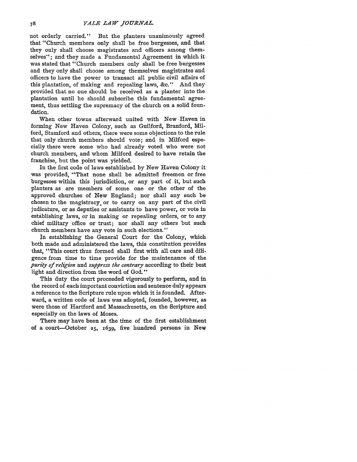not orderly carried." But the planters unanimously agreed that "Church members only shall be free burgesses, and that they only shall choose magistrates and officers among themselves"; and they made a Fundamental Agreement in which it was stated that "Church members only shall be free burgesses and they only shall choose among themselves magistrates and officers to have the power to transact all public civil affairs of this plantation, of making and repealing laws, &c." And they provided that no one should be received as a planter into the plantation until he should subscribe this fundamental agreement, thus settling the supremacy of the church on a solid foundation.

When other towns afterward united with New Haven in forming New Haven Colony, such as Guilford, Branford, Milford, Stamford and others, there were some objections to the rule that only church members should vote; and in Milford especially there were some who had already voted who were not church members, and whom Milford desired to have retain the franchise, but the point was yielded.

In the first code of laws established by New Haven Colony it was provided, "That none shall be admitted freemen or free burgesses within this jurisdiction, or any part of it, but such planters as are members of some one or the other of the approved churches of New England; nor shall any such be chosen to the magistracy. or to carry on any part of the civil judicature, or as deputies or assistants to have power, or vote in establishing laws, or in making or repealing orders, or to any chief military office or trust; nor shall any others but such church members have any vote in such elections."

In establishing the General Court for the Colony, which both made and administered the laws, this constitution provides that, "This court thus formed shall first with all care and diligence from time to time provide for the maintenance of the *purity of religion* and *suppress the contrary* according to their best light and direction from the word of God."

This duty the court proceeded vigorously to perform, and in the record of each important conviction and sentence duly appears a reference to the Scripture rule upon which it is founded. Afterward, a written code of laws was adopted, founded, however, as were those of Hartford and Massachusetts, on the Scripture and especially on the laws of Moses.

There may have been at the time of the first establishment of a court-October **25,** 1639, five hundred persons in New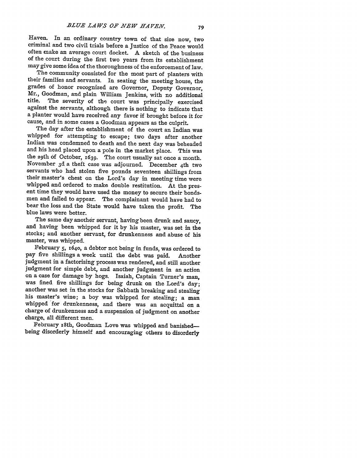Haven. In an ordinary country town of that size now, two criminal and two civil trials before a Justice of the Peace would often make an average court docket. A sketch of the business of the court during the first two years from its establishment may give some idea of the thoroughness of the enforcement of law.

The community consisted for the most part of planters with their families and servants. In seating the meeting house, the grades of honor recognized are Governor, Deputy Governor, Mr., Goodman, and plain William Jenkins, with no additional The severity of the court was principally exercised against the servants, although there is nothing to indicate that a planter would have received any favor if brought before it for cause, and in some cases a Goodman appears as the culprit.

The day after the establishment of the court an Indian was whipped for attempting to escape; two days after another Indian was condemned to death and the next day was beheaded and his head placed upon a pole in the market place. This was the 29th of October, 1639. The court usually sat once a month. November 3d a theft case was adjourned. December 4th two servants who had stolen five pounds seventeen shillings from their master's chest on the Lord's day in meeting time were whipped and ordered to make double restitution. At the present time they would have used the money to secure their bondsmen and failed to appear. The complainant would have had to bear the loss and the State would have taken the profit. The blue laws were better.

The same day another servant, having been drunk and saucy, and having been whipped for it by his master, was set in the stocks; and another servant, for drunkenness and abuse of his master, was whipped.

February **5,** 164o, a debtor not being in funds, was ordered to pay five shillings a week until the debt was paid. Another judgment in a factorizing process was rendered, and still another judgment for simple debt, and another judgment in an action on a case for damage **by** hogs. Isaiah, Captain Turner's man, was fined five shillings for being drunk on the Lord's day; another was set in the stocks for Sabbath breaking and stealing his master's wine; a boy was whipped for stealing; a man whipped for drunkenness, and there was an acquittal on a charge of drunkenness and a suspension of judgment on another charge, all different men.

February 18th, Goodman Love was whipped and banishedbeing disorderly himself and encouraging others to disorderly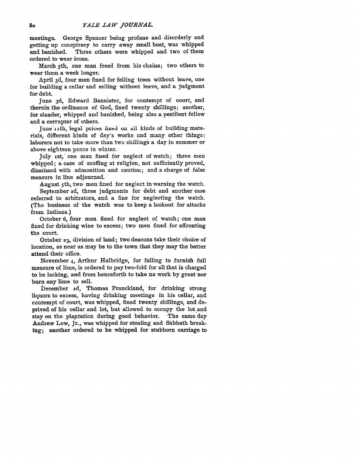meetings. George Spencer being profane and disorderly and getting up conspiracy to carry away small boat, was whipped and banished. Three others were whipped and two of them ordered to wear irons.

March 5th, one man freed from his chains; two others to wear them a week longer.

April **3d,** four men fined for felling trees without leave, one for building a cellar and selling without leave, and a judgment for debt.

June **3d,** Edward Bannister, for contempt of court, and therein the ordinance of God, fined twenty shillings; another, for slander, whipped and banished, being also a pestilent fellow and a corrupter of others.

June'i ith, legal prices fixed on all kinds of building materials, different kinds of day's works and many other things: laborers not to take more than two shillings a day in summer or above eighteen pence in winter.

July ist," one man fined for neglect of watch; three men whipped; a case of scoffing at religion, not sufficiently proved, dismissed with admonition and caution; and a charge of false measure in line adjourned.

August 5th, two men fined for neglect in warning the watch.

September **2d,** three judgments for debt and another case referred to arbitrators, and a fine for neglecting the watch. (The business of the watch was to keep a lookout for attacks from Indians.)

October **6,** four men fined for neglect of watch; one man fined for drinking wine to excess; two men fined for affronting the court.

October **23,** division of land; two deacons take their choice of location, as near as may be to the town that they may the better attend their office.

November 4, Arthur Halbridge, for failing to furnish full measure of lime, is ordered to pay two-fold for all that is charged to be lacking, and from henceforth to take no work **by** great nor burn any lime to sell.

December **2d,** Thomas Franckland, for drinking strong liquors to excess, having drinking meetings in his cellar, **and** contempt of court, was whipped, fined twenty shillings, and deprived of his cellar and lot, but allowed to occupy the lot and stay on the plantation during good behavior. The same day Andrew Low, Jr., was whipped for stealing and Sabbath breaking; another ordered to be whipped for stubborn carriage to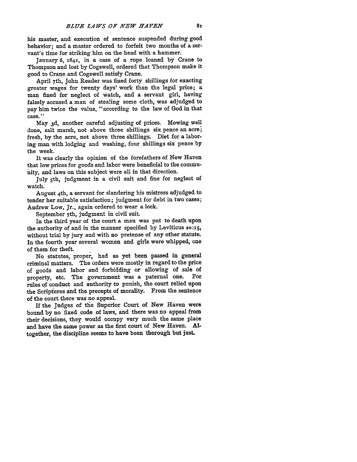his master, and execution of sentence suspended during good behavior; and a master ordered to forfeit two months of a servant's time for striking him on the head with a hammer.

January **6, 1841,** in a case of a rope loaned **by** Crane to Thompson and lost **by** Cogswell, ordered that Thompson make it good to Crane and Cogswell satisfy Crane.

April 7th, John Reader was fined forty shillings for exacting greater wages for twenty days' work than the legal price; a man fined for" neglect of watch, and **a.** servant girl, having falsely accused a man of stealing some cloth, was adjudged to pay him twice the value, "according to the law of God in that case. **"\***

May **3d,** another careful adjusting of prices. Mowing well done, salt marsh, not above three shillings six pence an acre; fresh, by the acre, not above three shillings. Diet for a laboring man with lodging and washing, four shillings six pence by the week.

It was clearly the opinion of the forefathers of New Haven that low prices for goods and labor were beneficial to the community, and laws on this subject were all in that direction.

July 5th, judgment in a civil suit and fine for neglect of watch.

August 4th, a servant for slandering his mistress adjudged to tender her suitable satisfaction; judgment for debt in two cases; Andrew Low, Jr., again ordered to wear a lock.

September 7th, judgment in civil suit.

In the third year of the court a man was put to death upon the authority of and in the manner specified by Leviticus **20:15,** without trial **by** jury and with no pretense of any other statute. In the fourth year several women and girls were whipped, one of them for theft.

No statutes, proper, had as yet been passed in general criminal matters. The orders were mostly in regard to the price of goods and labor and forbidding or allowing of sale of property etc. The government was a paternal one. For property, etc. The government was a paternal one. rules **of** conduct and authority to punish, the court relied upon the Scriptures and the precepts of morality. From the sentence of the court there was no appeal.

If the Judges of the Superior Court of New Haven were bound **by** no fixed code of laws, and there was no appeal from their decisions, they would occupy very much the same place and have the same power as the first court of New Haven. **Al**together, the discipline seems to have been thorough but just.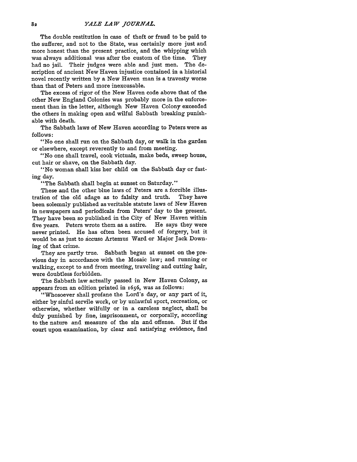The double restitution in case of theft or fraud to be paid to the sufferer, and not to the State, was certainly more just and more honest than the present practice, and the whipping which was always additional was after the custom of the time. They had no jail. Their judges were able and just men. The description of ancient New Haven injustice contained in a historial novel recently written by a New Haven man is a travesty worse than that of Peters and more inexcusable.

The excess of rigor of the New Haven code above that of the other New England Colonies was probably more in the enforcement than in the letter, although New Haven Colony exceeded the others in making open and wilful Sabbath breaking punishable with death.

The Sabbath laws of New Haven according to Peters were as follows:

"No one shall run on the Sabbath day, or walk in the garden or elsewhere, except reverently to and from meeting.

"No one shall travel, cook victuals, make beds, sweep house, cut hair or shave, on the Sabbath day.

"No woman shall kiss her child on the Sabbath day or fasting day.

"The Sabbath shall begin at sunset on Saturday."

These and the other blue laws of Peters are a forcible illustration of the old adage as to falsity and truth. They have been solemnly published as veritable statute laws of New Haven in newspapers and periodicals from Peters' day to the present. They have been so published in the City of New Haven within five years. Peters wrote them as a satire. He says they were never printed. He has often been accused of forgery, but it would be as just to accuse Artemus Ward or Major Jack Downing of that crime.

They are partly true. Sabbath began at sunset on the previous day in accordance with the Mosaic law; and running or walking, except to and from meeting, traveling and cutting hair, were doubtless forbidden.

The Sabbath law actually passed in New Haven Colony, as appears from an edition printed in 1656, was as follows:

"Whosoever shall profane the Lord's day, or any part of it, either **by** sinful servile work, or **by** unlawful sport, recreation, or otherwise, whether wilfully or in a careless neglect, shall be duly punished by fine, imprisonment, or corporally, according to the nature and measure of the sin and offense. But if the court upon examination, by clear and satisfying evidence, find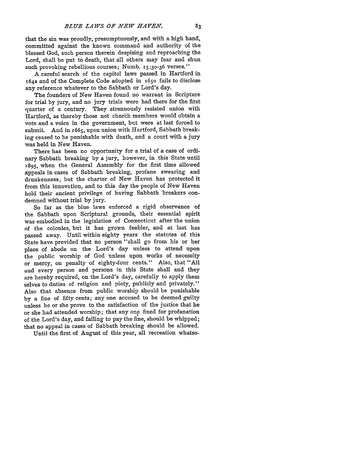that the sin was proudly, presumptuously, and with a high hand, committed against the known command and authority of the blessed God, such person therein despising and reproaching the Lord, shall be put to death, that all others may fear and shun such provoking rebellious courses; Numb. 15:30-36 verses."

A careful search of the capitol laws passed in Hartford in 1642 and of the Complete Code adopted in **1650** fails to disclose any reference whatever to the Sabbath or Lord's day.

The founders of New Haven found no warrant in Scripture for trial by jury, and no jury trials were had there for the first quarter of a century. They strenuously resisted union with Hartford, as thereby those not church members would obtain a vote and a voice in the government, but were at last forced to submit. And in 1665, upon union with Hartford, Sabbath breaking ceased to be punishable with death, and a court with a jury was held in New Haven.

There has been no opportunity for a trial of a case of ordinary Sabbath breaking by a jury, however, in this State until 1895, when the General Assembly for the first time allowed appeals in cases of Sabbath breaking, profane swearing and drunkenness; but the charter of New Haven has protected it from this innovation, and to this day the people of New Haven hold their ancient privilege of having Sabbath breakers condemned without trial by jury.

So far as the blue laws enforced a rigid observance of the Sabbath upon Scriptural grounds, their essential spirit was embodied in the legislation of Connecticut after the union of the colonies, but it has grown feebler, and at last has passed away. Until within eighty years the statutes of this State have provided that no person "shall go from his or her place of abode on the Lord's day unless to attend upon the public worship of God unless upon works of necessity or mercy, on penalty of eighty-four cents." Also, that "All and every person and persons in this State shall and they are hereby required, on the Lord's day, carefully to apply them selves to duties of religion and piety, publicly and privately." Also that absence from public worship should be punishable by a fine of fifty cents; any one accused to be deemed guilty unless he or she prove to the satisfaction of the justice that he or she had attended worship; that any one fined for profanation of the Lord's day, and failing to pay the fine, should be whipped; that no appeal in cases of Sabbath breaking should be allowed.

Until the first of August of this year, all recreation whatso-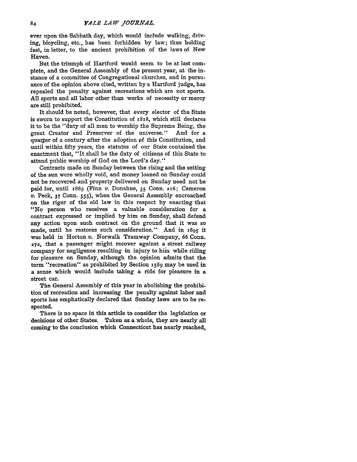ever upon the Sabbath day, which would include walking, driving, bicycling, etc., has been forbidden **by** law; thus holding fast, in letter, to the ancient prohibition of the laws of New Haven.

But the triumph of Hartford would seem to be at last complete, and the General Assembly of the present year, at the instance of a committee of Congregational churches, and in pursuance of the opinion above cited, written **by** a Hartford judge, has repealed the penalty against recreations which are not sports. **All** sports and all labor other than works of necessity or mercy are still prohibited.

It should be noted, however, that every elector of the State is sworn to support the Constitution of **i8i8,** which still declares it to be the "duty of all men to worship the Supreme Being, the great Creator and Preserver of the universe." And for a quarter of a century after the adoption **pf** this Constitution, and until within fifty years, the statutes of our State contained the enactment that, "It shall be the duty of citizens of this State to attend public worship of God on the Lord's day."

Contracts made on Sunday between the rising and the setting of the sun were wholly void, and money loaned on Sunday could not be recovered and property delivered on Sunday need not be paid for, until **1889** (Finn v. Donahue, **35** Conn. **216;** Cameron v. Peck, **37** Conn. **555),** when the General Assembly encroached on the rigor of the old law in this respect **by** enacting that "No person who receives a valuable consideration for a contract expressed or implied **by** him on Sunday, shall defend any action upon such contract on the ground that it was so made, until he restores such consideration." And in **x895** it was held in Horton v. Norwalk Tramway Company, **66** Conn. **272,** that a passenger might recover against a street railway company for negligence resulting in injury to **hin** while riding for pleasure on Sunday, although the opinion admits that the term "recreation" as prohibited by Section **1569** may be used in a sense which would include taking a ride for pleasure in a street car.

The General Assembly of this year in abolishing the prohibition of recreation and increasing the penalty against labor and sports has emphatically declared that Sunday laws are to be respected.

There is no space in this article to consider the legislation or decisions of other States. Taken as a whole, they are nearly all coming to the conclusion which Connecticut has nearly reached,